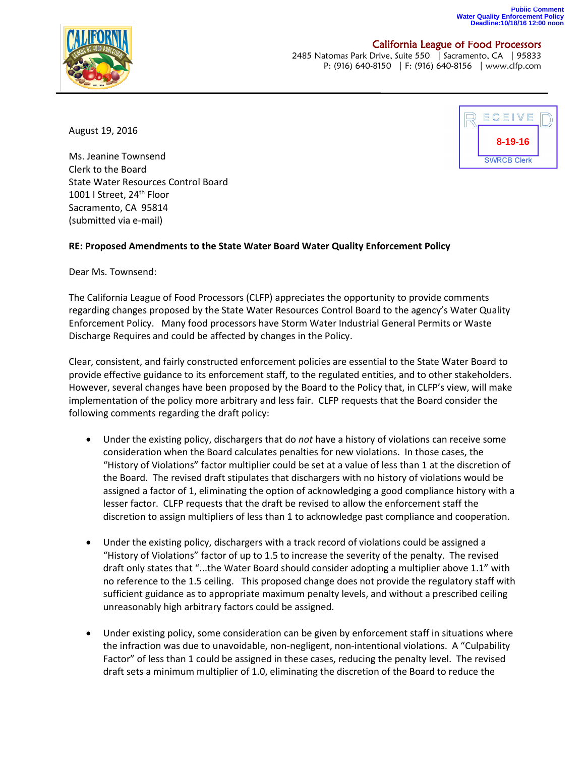## **Public Comment Water Quality Enforcement Policy Deadline:10/18/16 12:00 noon**



## California League of Food Processors

2485 Natomas Park Drive, Suite 550 | Sacramento, CA | 95833 P: (916) 640-8150 | F: (916) 640-8156 | www.clfp.com

August 19, 2016

ECEIVE **8-19-16SWRCB Clerk** 

Ms. Jeanine Townsend Clerk to the Board State Water Resources Control Board 1001 I Street, 24<sup>th</sup> Floor Sacramento, CA 95814 (submitted via e-mail)

## **RE: Proposed Amendments to the State Water Board Water Quality Enforcement Policy**

Dear Ms. Townsend:

The California League of Food Processors (CLFP) appreciates the opportunity to provide comments regarding changes proposed by the State Water Resources Control Board to the agency's Water Quality Enforcement Policy. Many food processors have Storm Water Industrial General Permits or Waste Discharge Requires and could be affected by changes in the Policy.

Clear, consistent, and fairly constructed enforcement policies are essential to the State Water Board to provide effective guidance to its enforcement staff, to the regulated entities, and to other stakeholders. However, several changes have been proposed by the Board to the Policy that, in CLFP's view, will make implementation of the policy more arbitrary and less fair. CLFP requests that the Board consider the following comments regarding the draft policy:

- Under the existing policy, dischargers that do *not* have a history of violations can receive some consideration when the Board calculates penalties for new violations. In those cases, the "History of Violations" factor multiplier could be set at a value of less than 1 at the discretion of the Board. The revised draft stipulates that dischargers with no history of violations would be assigned a factor of 1, eliminating the option of acknowledging a good compliance history with a lesser factor. CLFP requests that the draft be revised to allow the enforcement staff the discretion to assign multipliers of less than 1 to acknowledge past compliance and cooperation.
- Under the existing policy, dischargers with a track record of violations could be assigned a "History of Violations" factor of up to 1.5 to increase the severity of the penalty. The revised draft only states that "...the Water Board should consider adopting a multiplier above 1.1" with no reference to the 1.5 ceiling. This proposed change does not provide the regulatory staff with sufficient guidance as to appropriate maximum penalty levels, and without a prescribed ceiling unreasonably high arbitrary factors could be assigned.
- Under existing policy, some consideration can be given by enforcement staff in situations where the infraction was due to unavoidable, non-negligent, non-intentional violations. A "Culpability Factor" of less than 1 could be assigned in these cases, reducing the penalty level. The revised draft sets a minimum multiplier of 1.0, eliminating the discretion of the Board to reduce the